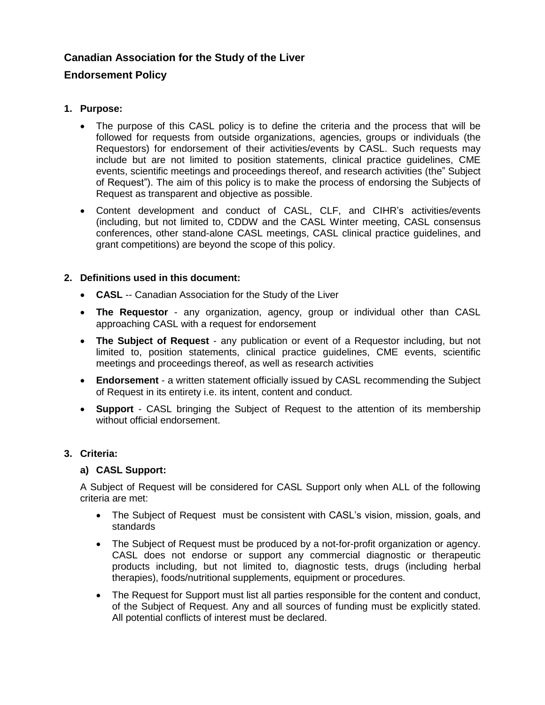# **Canadian Association for the Study of the Liver**

# **Endorsement Policy**

## **1. Purpose:**

- The purpose of this CASL policy is to define the criteria and the process that will be followed for requests from outside organizations, agencies, groups or individuals (the Requestors) for endorsement of their activities/events by CASL. Such requests may include but are not limited to position statements, clinical practice guidelines, CME events, scientific meetings and proceedings thereof, and research activities (the" Subject of Request"). The aim of this policy is to make the process of endorsing the Subjects of Request as transparent and objective as possible.
- Content development and conduct of CASL, CLF, and CIHR's activities/events (including, but not limited to, CDDW and the CASL Winter meeting, CASL consensus conferences, other stand-alone CASL meetings, CASL clinical practice guidelines, and grant competitions) are beyond the scope of this policy.

## **2. Definitions used in this document:**

- **CASL** -- Canadian Association for the Study of the Liver
- **The Requestor** any organization, agency, group or individual other than CASL approaching CASL with a request for endorsement
- **The Subject of Request**  any publication or event of a Requestor including, but not limited to, position statements, clinical practice guidelines, CME events, scientific meetings and proceedings thereof, as well as research activities
- **Endorsement** a written statement officially issued by CASL recommending the Subject of Request in its entirety i.e. its intent, content and conduct.
- **Support**  CASL bringing the Subject of Request to the attention of its membership without official endorsement.

## **3. Criteria:**

#### **a) CASL Support:**

A Subject of Request will be considered for CASL Support only when ALL of the following criteria are met:

- The Subject of Request must be consistent with CASL's vision, mission, goals, and standards
- The Subject of Request must be produced by a not-for-profit organization or agency. CASL does not endorse or support any commercial diagnostic or therapeutic products including, but not limited to, diagnostic tests, drugs (including herbal therapies), foods/nutritional supplements, equipment or procedures.
- The Request for Support must list all parties responsible for the content and conduct, of the Subject of Request. Any and all sources of funding must be explicitly stated. All potential conflicts of interest must be declared.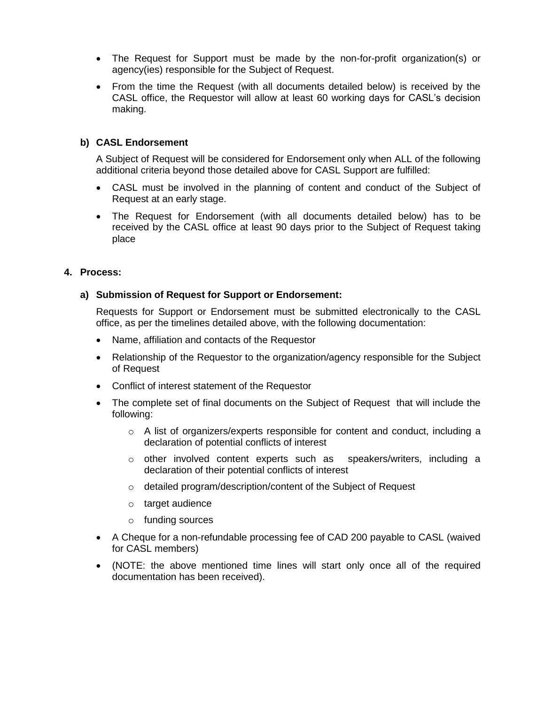- The Request for Support must be made by the non-for-profit organization(s) or agency(ies) responsible for the Subject of Request.
- From the time the Request (with all documents detailed below) is received by the CASL office, the Requestor will allow at least 60 working days for CASL's decision making.

### **b) CASL Endorsement**

A Subject of Request will be considered for Endorsement only when ALL of the following additional criteria beyond those detailed above for CASL Support are fulfilled:

- CASL must be involved in the planning of content and conduct of the Subject of Request at an early stage.
- The Request for Endorsement (with all documents detailed below) has to be received by the CASL office at least 90 days prior to the Subject of Request taking place

### **4. Process:**

#### **a) Submission of Request for Support or Endorsement:**

Requests for Support or Endorsement must be submitted electronically to the CASL office, as per the timelines detailed above, with the following documentation:

- Name, affiliation and contacts of the Requestor
- Relationship of the Requestor to the organization/agency responsible for the Subject of Request
- Conflict of interest statement of the Requestor
- The complete set of final documents on the Subject of Request that will include the following:
	- $\circ$  A list of organizers/experts responsible for content and conduct, including a declaration of potential conflicts of interest
	- $\circ$  other involved content experts such as speakers/writers, including a declaration of their potential conflicts of interest
	- o detailed program/description/content of the Subject of Request
	- o target audience
	- o funding sources
- A Cheque for a non-refundable processing fee of CAD 200 payable to CASL (waived for CASL members)
- (NOTE: the above mentioned time lines will start only once all of the required documentation has been received).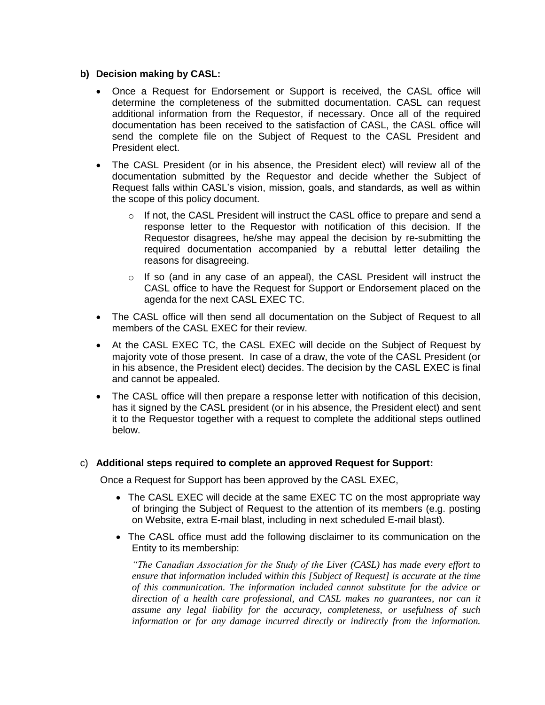#### **b) Decision making by CASL:**

- Once a Request for Endorsement or Support is received, the CASL office will determine the completeness of the submitted documentation. CASL can request additional information from the Requestor, if necessary. Once all of the required documentation has been received to the satisfaction of CASL, the CASL office will send the complete file on the Subject of Request to the CASL President and President elect.
- The CASL President (or in his absence, the President elect) will review all of the documentation submitted by the Requestor and decide whether the Subject of Request falls within CASL's vision, mission, goals, and standards, as well as within the scope of this policy document.
	- o If not, the CASL President will instruct the CASL office to prepare and send a response letter to the Requestor with notification of this decision. If the Requestor disagrees, he/she may appeal the decision by re-submitting the required documentation accompanied by a rebuttal letter detailing the reasons for disagreeing.
	- $\circ$  If so (and in any case of an appeal), the CASL President will instruct the CASL office to have the Request for Support or Endorsement placed on the agenda for the next CASL EXEC TC.
- The CASL office will then send all documentation on the Subject of Request to all members of the CASL EXEC for their review.
- At the CASL EXEC TC, the CASL EXEC will decide on the Subject of Request by majority vote of those present. In case of a draw, the vote of the CASL President (or in his absence, the President elect) decides. The decision by the CASL EXEC is final and cannot be appealed.
- The CASL office will then prepare a response letter with notification of this decision, has it signed by the CASL president (or in his absence, the President elect) and sent it to the Requestor together with a request to complete the additional steps outlined below.

#### c) **Additional steps required to complete an approved Request for Support:**

Once a Request for Support has been approved by the CASL EXEC,

- The CASL EXEC will decide at the same EXEC TC on the most appropriate way of bringing the Subject of Request to the attention of its members (e.g. posting on Website, extra E-mail blast, including in next scheduled E-mail blast).
- The CASL office must add the following disclaimer to its communication on the Entity to its membership:

*"The Canadian Association for the Study of the Liver (CASL) has made every effort to ensure that information included within this [Subject of Request] is accurate at the time of this communication. The information included cannot substitute for the advice or direction of a health care professional, and CASL makes no guarantees, nor can it assume any legal liability for the accuracy, completeness, or usefulness of such information or for any damage incurred directly or indirectly from the information.*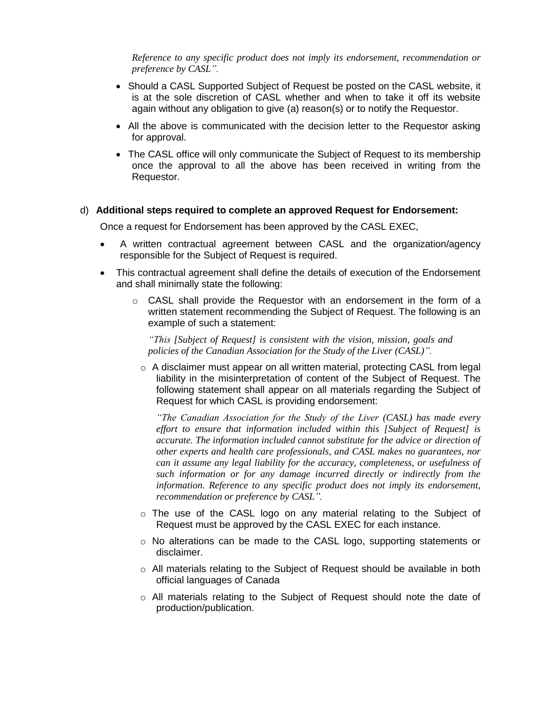*Reference to any specific product does not imply its endorsement, recommendation or preference by CASL".*

- Should a CASL Supported Subject of Request be posted on the CASL website, it is at the sole discretion of CASL whether and when to take it off its website again without any obligation to give (a) reason(s) or to notify the Requestor.
- All the above is communicated with the decision letter to the Requestor asking for approval.
- The CASL office will only communicate the Subject of Request to its membership once the approval to all the above has been received in writing from the Requestor.

#### d) **Additional steps required to complete an approved Request for Endorsement:**

Once a request for Endorsement has been approved by the CASL EXEC,

- A written contractual agreement between CASL and the organization/agency responsible for the Subject of Request is required.
- This contractual agreement shall define the details of execution of the Endorsement and shall minimally state the following:
	- $\circ$  CASL shall provide the Requestor with an endorsement in the form of a written statement recommending the Subject of Request. The following is an example of such a statement:

*"This [Subject of Request] is consistent with the vision, mission, goals and policies of the Canadian Association for the Study of the Liver (CASL)".*

o A disclaimer must appear on all written material, protecting CASL from legal liability in the misinterpretation of content of the Subject of Request. The following statement shall appear on all materials regarding the Subject of Request for which CASL is providing endorsement:

*"The Canadian Association for the Study of the Liver (CASL) has made every effort to ensure that information included within this [Subject of Request] is accurate. The information included cannot substitute for the advice or direction of other experts and health care professionals, and CASL makes no guarantees, nor can it assume any legal liability for the accuracy, completeness, or usefulness of such information or for any damage incurred directly or indirectly from the information. Reference to any specific product does not imply its endorsement, recommendation or preference by CASL".*

- o The use of the CASL logo on any material relating to the Subject of Request must be approved by the CASL EXEC for each instance.
- $\circ$  No alterations can be made to the CASL logo, supporting statements or disclaimer.
- $\circ$  All materials relating to the Subject of Request should be available in both official languages of Canada
- o All materials relating to the Subject of Request should note the date of production/publication.